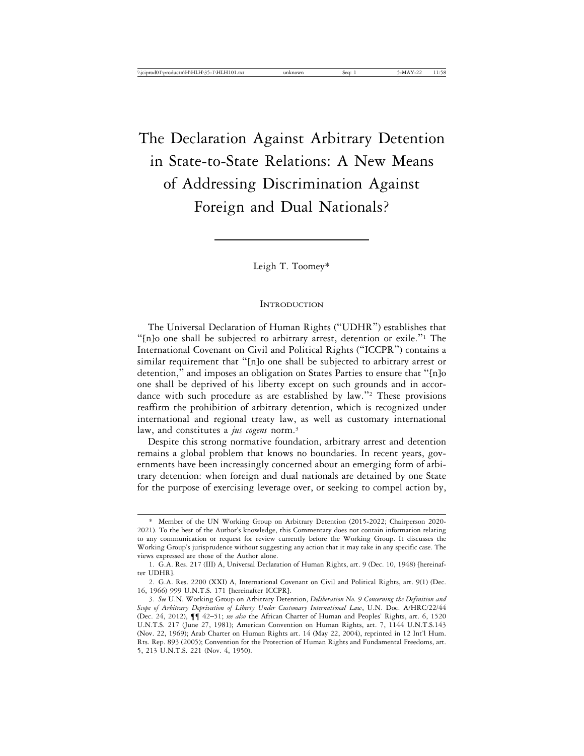# The Declaration Against Arbitrary Detention in State-to-State Relations: A New Means of Addressing Discrimination Against Foreign and Dual Nationals?

Leigh T. Toomey\*

#### **INTRODUCTION**

The Universal Declaration of Human Rights ("UDHR") establishes that "[n]o one shall be subjected to arbitrary arrest, detention or exile."<sup>1</sup> The International Covenant on Civil and Political Rights ("ICCPR") contains a similar requirement that "[n]o one shall be subjected to arbitrary arrest or detention," and imposes an obligation on States Parties to ensure that "[n]o one shall be deprived of his liberty except on such grounds and in accordance with such procedure as are established by law."<sup>2</sup> These provisions reaffirm the prohibition of arbitrary detention, which is recognized under international and regional treaty law, as well as customary international law, and constitutes a *jus cogens* norm.<sup>3</sup>

Despite this strong normative foundation, arbitrary arrest and detention remains a global problem that knows no boundaries. In recent years, governments have been increasingly concerned about an emerging form of arbitrary detention: when foreign and dual nationals are detained by one State for the purpose of exercising leverage over, or seeking to compel action by,

<sup>\*</sup> Member of the UN Working Group on Arbitrary Detention (2015-2022; Chairperson 2020- 2021). To the best of the Author's knowledge, this Commentary does not contain information relating to any communication or request for review currently before the Working Group. It discusses the Working Group's jurisprudence without suggesting any action that it may take in any specific case. The views expressed are those of the Author alone.

<sup>1.</sup> G.A. Res. 217 (III) A, Universal Declaration of Human Rights, art. 9 (Dec. 10, 1948) [hereinafter UDHR].

<sup>2.</sup> G.A. Res. 2200 (XXI) A, International Covenant on Civil and Political Rights, art. 9(1) (Dec. 16, 1966) 999 U.N.T.S. 171 [hereinafter ICCPR].

<sup>3.</sup> *See* U.N. Working Group on Arbitrary Detention, *Deliberation No. 9 Concerning the Definition and Scope of Arbitrary Deprivation of Liberty Under Customary International Law*, U.N. Doc. A/HRC/22/44 (Dec. 24, 2012), ¶¶ 42–51; *see also* the African Charter of Human and Peoples' Rights, art. 6, 1520 U.N.T.S. 217 (June 27, 1981); American Convention on Human Rights, art. 7, 1144 U.N.T.S.143 (Nov. 22, 1969); Arab Charter on Human Rights art. 14 (May 22, 2004), reprinted in 12 Int'l Hum. Rts. Rep. 893 (2005); Convention for the Protection of Human Rights and Fundamental Freedoms, art. 5, 213 U.N.T.S. 221 (Nov. 4, 1950).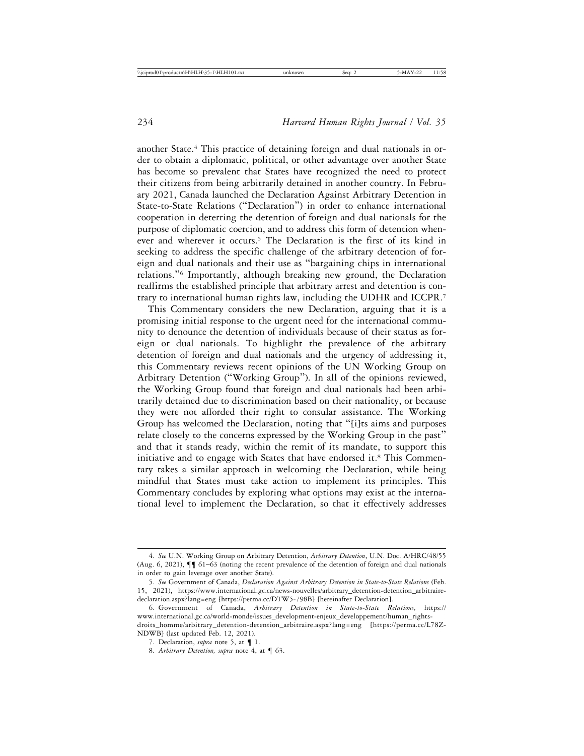another State.4 This practice of detaining foreign and dual nationals in order to obtain a diplomatic, political, or other advantage over another State has become so prevalent that States have recognized the need to protect their citizens from being arbitrarily detained in another country. In February 2021, Canada launched the Declaration Against Arbitrary Detention in State-to-State Relations ("Declaration") in order to enhance international cooperation in deterring the detention of foreign and dual nationals for the purpose of diplomatic coercion, and to address this form of detention whenever and wherever it occurs.5 The Declaration is the first of its kind in seeking to address the specific challenge of the arbitrary detention of foreign and dual nationals and their use as "bargaining chips in international relations."6 Importantly, although breaking new ground, the Declaration reaffirms the established principle that arbitrary arrest and detention is contrary to international human rights law, including the UDHR and ICCPR.7

This Commentary considers the new Declaration, arguing that it is a promising initial response to the urgent need for the international community to denounce the detention of individuals because of their status as foreign or dual nationals. To highlight the prevalence of the arbitrary detention of foreign and dual nationals and the urgency of addressing it, this Commentary reviews recent opinions of the UN Working Group on Arbitrary Detention ("Working Group"). In all of the opinions reviewed, the Working Group found that foreign and dual nationals had been arbitrarily detained due to discrimination based on their nationality, or because they were not afforded their right to consular assistance. The Working Group has welcomed the Declaration, noting that "[i]ts aims and purposes relate closely to the concerns expressed by the Working Group in the past" and that it stands ready, within the remit of its mandate, to support this initiative and to engage with States that have endorsed it.<sup>8</sup> This Commentary takes a similar approach in welcoming the Declaration, while being mindful that States must take action to implement its principles. This Commentary concludes by exploring what options may exist at the international level to implement the Declaration, so that it effectively addresses

<sup>4.</sup> *See* U.N. Working Group on Arbitrary Detention, *Arbitrary Detention*, U.N. Doc. A/HRC/48/55 (Aug. 6, 2021), ¶¶ 61–63 (noting the recent prevalence of the detention of foreign and dual nationals in order to gain leverage over another State).

<sup>5.</sup> *See* Government of Canada, *Declaration Against Arbitrary Detention in State-to-State Relations* (Feb. 15, 2021), https://www.international.gc.ca/news-nouvelles/arbitrary\_detention-detention\_arbitrairedeclaration.aspx?lang=eng [https://perma.cc/DTW5-798B] [hereinafter Declaration].

<sup>6.</sup> Government of Canada, *Arbitrary Detention in State-to-State Relations,* https:// www.international.gc.ca/world-monde/issues\_development-enjeux\_developpement/human\_rightsdroits\_homme/arbitrary\_detention-detention\_arbitraire.aspx?lang=eng [https://perma.cc/L78Z-NDWB] (last updated Feb. 12, 2021).

<sup>7.</sup> Declaration, *supra* note 5, at ¶ 1.

<sup>8.</sup> *Arbitrary Detention, supra* note 4, at ¶ 63.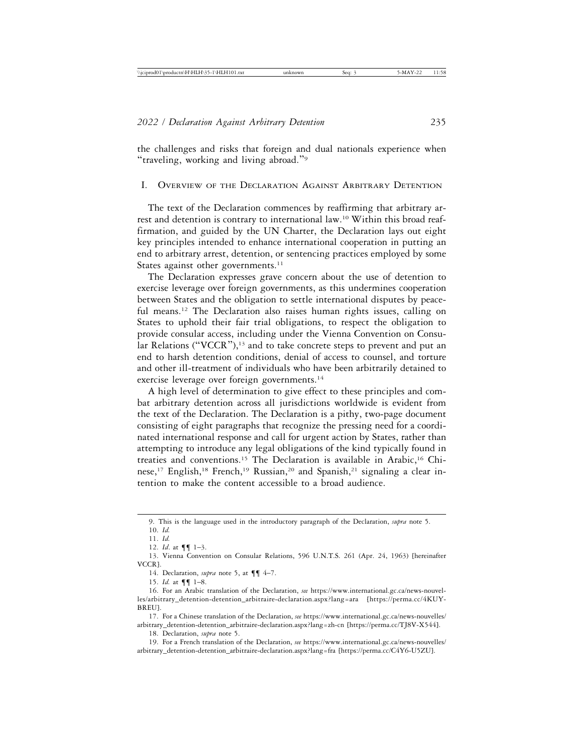the challenges and risks that foreign and dual nationals experience when "traveling, working and living abroad."<sup>9</sup>

## I. OVERVIEW OF THE DECLARATION AGAINST ARBITRARY DETENTION

The text of the Declaration commences by reaffirming that arbitrary arrest and detention is contrary to international law.10 Within this broad reaffirmation, and guided by the UN Charter, the Declaration lays out eight key principles intended to enhance international cooperation in putting an end to arbitrary arrest, detention, or sentencing practices employed by some States against other governments.<sup>11</sup>

The Declaration expresses grave concern about the use of detention to exercise leverage over foreign governments, as this undermines cooperation between States and the obligation to settle international disputes by peaceful means.12 The Declaration also raises human rights issues, calling on States to uphold their fair trial obligations, to respect the obligation to provide consular access, including under the Vienna Convention on Consular Relations ("VCCR"), $13$  and to take concrete steps to prevent and put an end to harsh detention conditions, denial of access to counsel, and torture and other ill-treatment of individuals who have been arbitrarily detained to exercise leverage over foreign governments.<sup>14</sup>

A high level of determination to give effect to these principles and combat arbitrary detention across all jurisdictions worldwide is evident from the text of the Declaration. The Declaration is a pithy, two-page document consisting of eight paragraphs that recognize the pressing need for a coordinated international response and call for urgent action by States, rather than attempting to introduce any legal obligations of the kind typically found in treaties and conventions.15 The Declaration is available in Arabic,16 Chinese,<sup>17</sup> English,<sup>18</sup> French,<sup>19</sup> Russian,<sup>20</sup> and Spanish,<sup>21</sup> signaling a clear intention to make the content accessible to a broad audience.

14. Declaration, *supra* note 5, at ¶¶ 4–7.

17. For a Chinese translation of the Declaration, *see* https://www.international.gc.ca/news-nouvelles/ arbitrary\_detention-detention\_arbitraire-declaration.aspx?lang=zh-cn [https://perma.cc/TJ8V-X544].

18. Declaration, *supra* note 5.

19. For a French translation of the Declaration, *see* https://www.international.gc.ca/news-nouvelles/ arbitrary\_detention-detention\_arbitraire-declaration.aspx?lang=fra [https://perma.cc/C4Y6-U5ZU].

<sup>9.</sup> This is the language used in the introductory paragraph of the Declaration, *supra* note 5.

<sup>10.</sup> *Id.*

<sup>11.</sup> *Id.*

<sup>12.</sup> *Id*. at ¶¶ 1–3.

<sup>13.</sup> Vienna Convention on Consular Relations, 596 U.N.T.S. 261 (Apr. 24, 1963) [hereinafter VCCR].

<sup>15.</sup> *Id.* at ¶¶ 1–8.

<sup>16.</sup> For an Arabic translation of the Declaration, *see* https://www.international.gc.ca/news-nouvelles/arbitrary\_detention-detention\_arbitraire-declaration.aspx?lang=ara [https://perma.cc/4KUY-BREU].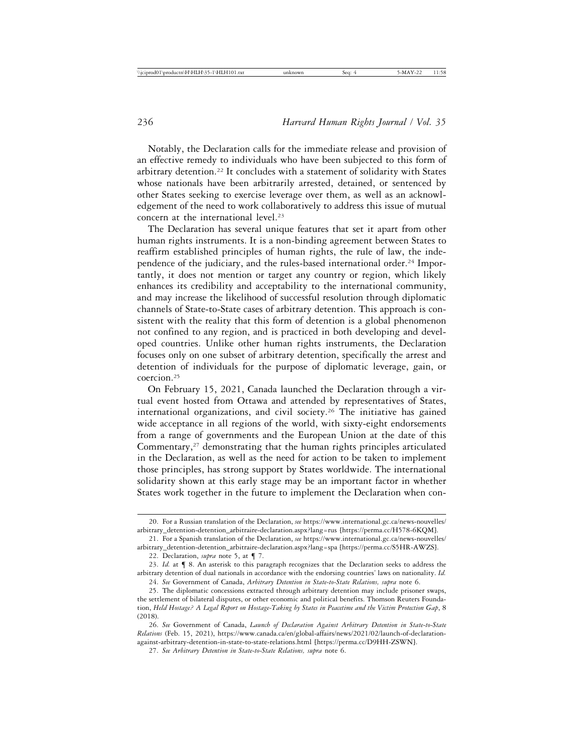Notably, the Declaration calls for the immediate release and provision of an effective remedy to individuals who have been subjected to this form of arbitrary detention.22 It concludes with a statement of solidarity with States whose nationals have been arbitrarily arrested, detained, or sentenced by other States seeking to exercise leverage over them, as well as an acknowledgement of the need to work collaboratively to address this issue of mutual concern at the international level.<sup>23</sup>

The Declaration has several unique features that set it apart from other human rights instruments. It is a non-binding agreement between States to reaffirm established principles of human rights, the rule of law, the independence of the judiciary, and the rules-based international order.<sup>24</sup> Importantly, it does not mention or target any country or region, which likely enhances its credibility and acceptability to the international community, and may increase the likelihood of successful resolution through diplomatic channels of State-to-State cases of arbitrary detention. This approach is consistent with the reality that this form of detention is a global phenomenon not confined to any region, and is practiced in both developing and developed countries. Unlike other human rights instruments, the Declaration focuses only on one subset of arbitrary detention, specifically the arrest and detention of individuals for the purpose of diplomatic leverage, gain, or coercion.25

On February 15, 2021, Canada launched the Declaration through a virtual event hosted from Ottawa and attended by representatives of States, international organizations, and civil society.26 The initiative has gained wide acceptance in all regions of the world, with sixty-eight endorsements from a range of governments and the European Union at the date of this Commentary,27 demonstrating that the human rights principles articulated in the Declaration, as well as the need for action to be taken to implement those principles, has strong support by States worldwide. The international solidarity shown at this early stage may be an important factor in whether States work together in the future to implement the Declaration when con-

<sup>20.</sup> For a Russian translation of the Declaration, *see* https://www.international.gc.ca/news-nouvelles/ arbitrary\_detention-detention\_arbitraire-declaration.aspx?lang=rus [https://perma.cc/H578-6KQM].

<sup>21.</sup> For a Spanish translation of the Declaration, *see* https://www.international.gc.ca/news-nouvelles/ arbitrary\_detention-detention\_arbitraire-declaration.aspx?lang=spa [https://perma.cc/S5HR-AWZS].

<sup>22.</sup> Declaration, *supra* note 5, at ¶ 7.

<sup>23.</sup> *Id.* at ¶ 8. An asterisk to this paragraph recognizes that the Declaration seeks to address the arbitrary detention of dual nationals in accordance with the endorsing countries' laws on nationality. *Id.* 24. *See* Government of Canada, *Arbitrary Detention in State-to-State Relations, supra* note 6.

<sup>25.</sup> The diplomatic concessions extracted through arbitrary detention may include prisoner swaps, the settlement of bilateral disputes, or other economic and political benefits. Thomson Reuters Foundation, *Held Hostage? A Legal Report on Hostage-Taking by States in Peacetime and the Victim Protection Gap*, 8 (2018).

<sup>26.</sup> *See* Government of Canada, *Launch of Declaration Against Arbitrary Detention in State-to-State Relations* (Feb. 15, 2021), https://www.canada.ca/en/global-affairs/news/2021/02/launch-of-declarationagainst-arbitrary-detention-in-state-to-state-relations.html [https://perma.cc/D9HH-ZSWN].

<sup>27.</sup> *See Arbitrary Detention in State-to-State Relations, supra* note 6.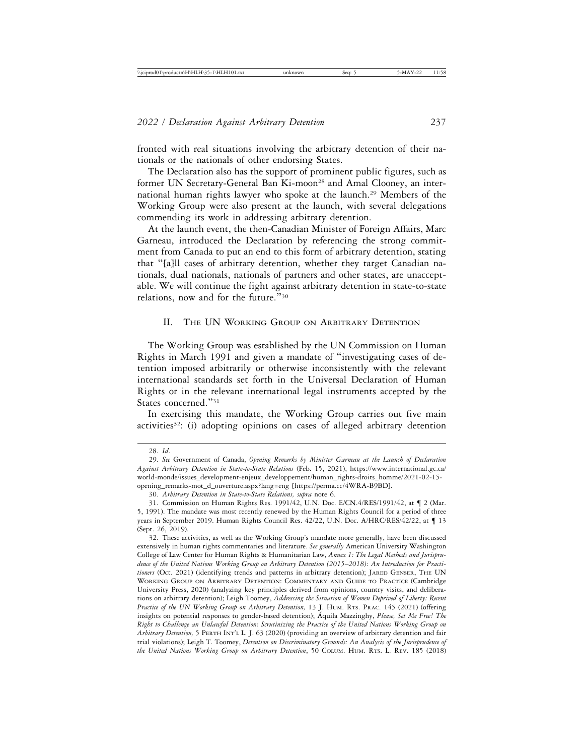fronted with real situations involving the arbitrary detention of their nationals or the nationals of other endorsing States.

The Declaration also has the support of prominent public figures, such as former UN Secretary-General Ban Ki-moon<sup>28</sup> and Amal Clooney, an international human rights lawyer who spoke at the launch.<sup>29</sup> Members of the Working Group were also present at the launch, with several delegations commending its work in addressing arbitrary detention.

At the launch event, the then-Canadian Minister of Foreign Affairs, Marc Garneau, introduced the Declaration by referencing the strong commitment from Canada to put an end to this form of arbitrary detention, stating that "[a]ll cases of arbitrary detention, whether they target Canadian nationals, dual nationals, nationals of partners and other states, are unacceptable. We will continue the fight against arbitrary detention in state-to-state relations, now and for the future."<sup>30</sup>

## II. THE UN WORKING GROUP ON ARBITRARY DETENTION

The Working Group was established by the UN Commission on Human Rights in March 1991 and given a mandate of "investigating cases of detention imposed arbitrarily or otherwise inconsistently with the relevant international standards set forth in the Universal Declaration of Human Rights or in the relevant international legal instruments accepted by the States concerned."<sup>31</sup>

In exercising this mandate, the Working Group carries out five main activities<sup>32</sup>: (i) adopting opinions on cases of alleged arbitrary detention

<sup>28.</sup> *Id*.

<sup>29.</sup> *See* Government of Canada, *Opening Remarks by Minister Garneau at the Launch of Declaration Against Arbitrary Detention in State-to-State Relations* (Feb. 15, 2021), https://www.international.gc.ca/ world-monde/issues\_development-enjeux\_developpement/human\_rights-droits\_homme/2021-02-15 opening\_remarks-mot\_d\_ouverture.aspx?lang=eng [https://perma.cc/4WRA-B9BD].

<sup>30.</sup> *Arbitrary Detention in State-to-State Relations, supra* note 6.

<sup>31.</sup> Commission on Human Rights Res. 1991/42, U.N. Doc. E/CN.4/RES/1991/42, at ¶ 2 (Mar. 5, 1991). The mandate was most recently renewed by the Human Rights Council for a period of three years in September 2019. Human Rights Council Res. 42/22, U.N. Doc. A/HRC/RES/42/22, at ¶ 13 (Sept. 26, 2019).

<sup>32.</sup> These activities, as well as the Working Group's mandate more generally, have been discussed extensively in human rights commentaries and literature. *See generally* American University Washington College of Law Center for Human Rights & Humanitarian Law, *Annex 1: The Legal Methods and Jurisprudence of the United Nations Working Group on Arbitrary Detention (2015*–*2018): An Introduction for Practitioners* (Oct. 2021) (identifying trends and patterns in arbitrary detention); JARED GENSER, THE UN WORKING GROUP ON ARBITRARY DETENTION: COMMENTARY AND GUIDE TO PRACTICE (Cambridge University Press, 2020) (analyzing key principles derived from opinions, country visits, and deliberations on arbitrary detention); Leigh Toomey, *Addressing the Situation of Women Deprived of Liberty: Recent* Practice of the UN Working Group on Arbitrary Detention, 13 J. HUM. RTS. PRAC. 145 (2021) (offering insights on potential responses to gender-based detention); Aquila Mazzinghy, Please, Set Me Free! The *Right to Challenge an Unlawful Detention: Scrutinizing the Practice of the United Nations Working Group on Arbitrary Detention,* 5 PERTH INT'L L. J. 63 (2020) (providing an overview of arbitrary detention and fair trial violations); Leigh T. Toomey, *Detention on Discriminatory Grounds: An Analysis of the Jurisprudence of the United Nations Working Group on Arbitrary Detention*, 50 COLUM. HUM. RTS. L. REV. 185 (2018)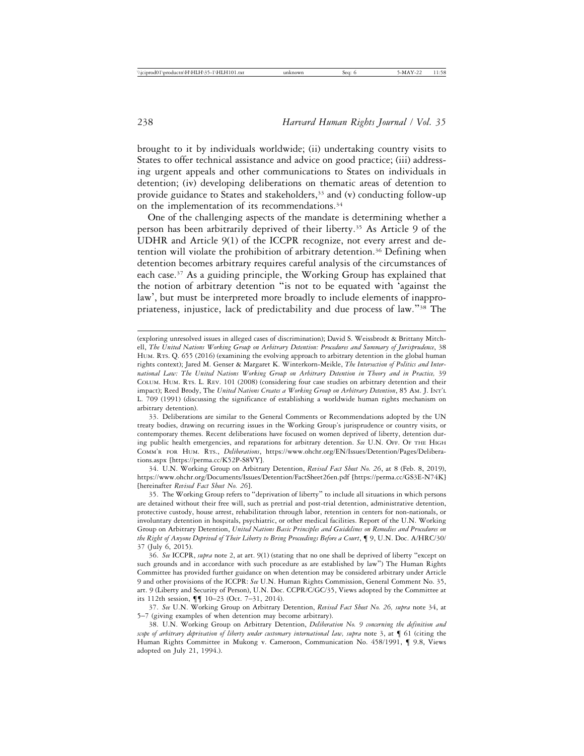brought to it by individuals worldwide; (ii) undertaking country visits to States to offer technical assistance and advice on good practice; (iii) addressing urgent appeals and other communications to States on individuals in detention; (iv) developing deliberations on thematic areas of detention to provide guidance to States and stakeholders,<sup>33</sup> and (v) conducting follow-up on the implementation of its recommendations.<sup>34</sup>

One of the challenging aspects of the mandate is determining whether a person has been arbitrarily deprived of their liberty.35 As Article 9 of the UDHR and Article 9(1) of the ICCPR recognize, not every arrest and detention will violate the prohibition of arbitrary detention.36 Defining when detention becomes arbitrary requires careful analysis of the circumstances of each case.37 As a guiding principle, the Working Group has explained that the notion of arbitrary detention "is not to be equated with 'against the law', but must be interpreted more broadly to include elements of inappropriateness, injustice, lack of predictability and due process of law."38 The

33. Deliberations are similar to the General Comments or Recommendations adopted by the UN treaty bodies, drawing on recurring issues in the Working Group's jurisprudence or country visits, or contemporary themes. Recent deliberations have focused on women deprived of liberty, detention during public health emergencies, and reparations for arbitrary detention. *See* U.N. OFF. OF THE HIGH COMM'R FOR HUM. RTS., *Deliberations*, https://www.ohchr.org/EN/Issues/Detention/Pages/Deliberations.aspx [https://perma.cc/K52P-S8VY].

34. U.N. Working Group on Arbitrary Detention, *Revised Fact Sheet No. 26*, at 8 (Feb. 8, 2019), https://www.ohchr.org/Documents/Issues/Detention/FactSheet26en.pdf [https://perma.cc/GS3E-N74K] [hereinafter *Revised Fact Sheet No. 26*].

35. The Working Group refers to "deprivation of liberty" to include all situations in which persons are detained without their free will, such as pretrial and post-trial detention, administrative detention, protective custody, house arrest, rehabilitation through labor, retention in centers for non-nationals, or involuntary detention in hospitals, psychiatric, or other medical facilities. Report of the U.N. Working Group on Arbitrary Detention, *United Nations Basic Principles and Guidelines on Remedies and Procedures on the Right of Anyone Deprived of Their Liberty to Bring Proceedings Before a Court*, ¶ 9, U.N. Doc. A/HRC/30/ 37 (July 6, 2015).

36. *See* ICCPR, *supra* note 2, at art. 9(1) (stating that no one shall be deprived of liberty "except on such grounds and in accordance with such procedure as are established by law") The Human Rights Committee has provided further guidance on when detention may be considered arbitrary under Article 9 and other provisions of the ICCPR: *See* U.N. Human Rights Commission, General Comment No. 35, art. 9 (Liberty and Security of Person), U.N. Doc. CCPR/C/GC/35, Views adopted by the Committee at its 112th session, ¶¶ 10–23 (Oct. 7–31, 2014).

37. *See* U.N. Working Group on Arbitrary Detention, *Revised Fact Sheet No. 26, supra* note 34, at 5–7 (giving examples of when detention may become arbitrary).

38. U.N. Working Group on Arbitrary Detention, *Deliberation No. 9 concerning the definition and scope of arbitrary deprivation of liberty under customary international law, supra* note 3, at ¶ 61 (citing the Human Rights Committee in Mukong v. Cameroon, Communication No. 458/1991, ¶ 9.8, Views adopted on July 21, 1994.).

<sup>(</sup>exploring unresolved issues in alleged cases of discrimination); David S. Weissbrodt & Brittany Mitchell, *The United Nations Working Group on Arbitrary Detention: Procedures and Summary of Jurisprudence*, 38 HUM. RTS. Q. 655 (2016) (examining the evolving approach to arbitrary detention in the global human rights context); Jared M. Genser & Margaret K. Winterkorn-Meikle, *The Intersection of Politics and International Law: The United Nations Working Group on Arbitrary Detention in Theory and in Practice,* 39 COLUM. HUM. RTS. L. REV. 101 (2008) (considering four case studies on arbitrary detention and their impact); Reed Brody, The *United Nations Creates a Working Group on Arbitrary Detention*, 85 AM. J. INT'L L. 709 (1991) (discussing the significance of establishing a worldwide human rights mechanism on arbitrary detention).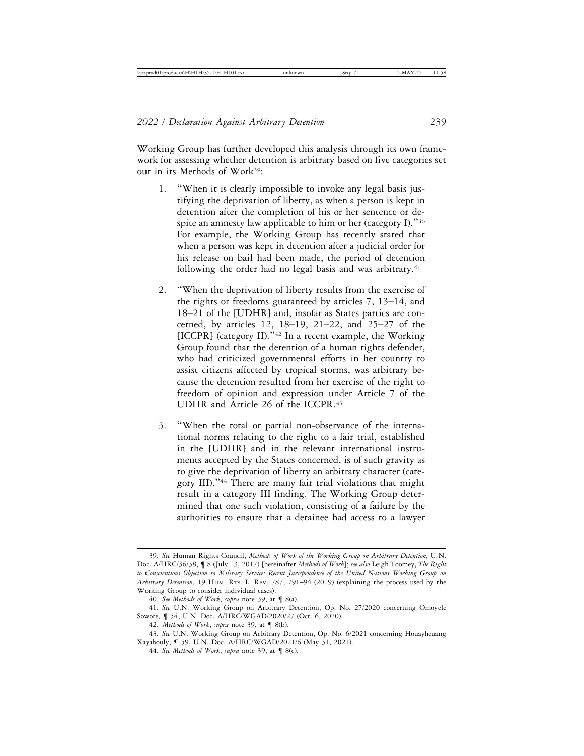Working Group has further developed this analysis through its own framework for assessing whether detention is arbitrary based on five categories set out in its Methods of Work39:

- 1. "When it is clearly impossible to invoke any legal basis justifying the deprivation of liberty, as when a person is kept in detention after the completion of his or her sentence or despite an amnesty law applicable to him or her (category I)."40 For example, the Working Group has recently stated that when a person was kept in detention after a judicial order for his release on bail had been made, the period of detention following the order had no legal basis and was arbitrary.<sup>41</sup>
- 2. "When the deprivation of liberty results from the exercise of the rights or freedoms guaranteed by articles 7, 13–14, and 18–21 of the [UDHR] and, insofar as States parties are concerned, by articles 12, 18–19, 21–22, and 25–27 of the  $[ICCPR]$  (category II)."<sup>42</sup> In a recent example, the Working Group found that the detention of a human rights defender, who had criticized governmental efforts in her country to assist citizens affected by tropical storms, was arbitrary because the detention resulted from her exercise of the right to freedom of opinion and expression under Article 7 of the UDHR and Article 26 of the ICCPR.43
- 3. "When the total or partial non-observance of the international norms relating to the right to a fair trial, established in the [UDHR] and in the relevant international instruments accepted by the States concerned, is of such gravity as to give the deprivation of liberty an arbitrary character (category III)."44 There are many fair trial violations that might result in a category III finding. The Working Group determined that one such violation, consisting of a failure by the authorities to ensure that a detainee had access to a lawyer

<sup>39.</sup> *See* Human Rights Council, *Methods of Work of the Working Group on Arbitrary Detention,* U.N. Doc. A/HRC/36/38, ¶ 8 (July 13, 2017) [hereinafter *Methods of Work*]; *see also* Leigh Toomey, *The Right to Conscientious Objection to Military Service: Recent Jurisprudence of the United Nations Working Group on Arbitrary Detention*, 19 HUM. RTS. L. REV. 787, 791–94 (2019) (explaining the process used by the Working Group to consider individual cases).

<sup>40.</sup> *See Methods of Work*, *supra* note 39, at ¶ 8(a).

<sup>41.</sup> *See* U.N. Working Group on Arbitrary Detention, Op. No. 27/2020 concerning Omoyele Sowore, ¶ 54, U.N. Doc. A/HRC/WGAD/2020/27 (Oct. 6, 2020).

<sup>42.</sup> *Methods of Work*, *supra* note 39, at ¶ 8(b).

<sup>43.</sup> *See* U.N. Working Group on Arbitrary Detention, Op. No. 6/2021 concerning Houayheuang Xayabouly, ¶ 59, U.N. Doc. A/HRC/WGAD/2021/6 (May 31, 2021).

<sup>44.</sup> *See Methods of Work*, *supra* note 39, at ¶ 8(c).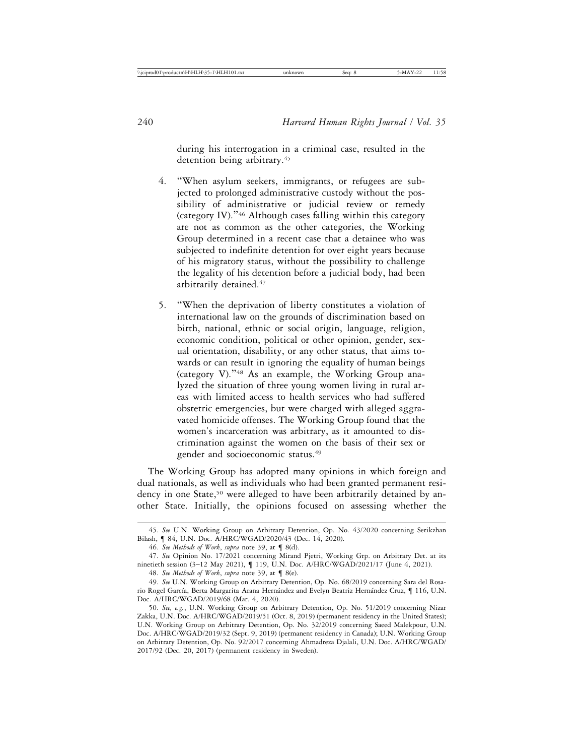during his interrogation in a criminal case, resulted in the detention being arbitrary.<sup>45</sup>

- 4. "When asylum seekers, immigrants, or refugees are subjected to prolonged administrative custody without the possibility of administrative or judicial review or remedy (category IV)."46 Although cases falling within this category are not as common as the other categories, the Working Group determined in a recent case that a detainee who was subjected to indefinite detention for over eight years because of his migratory status, without the possibility to challenge the legality of his detention before a judicial body, had been arbitrarily detained.47
- 5. "When the deprivation of liberty constitutes a violation of international law on the grounds of discrimination based on birth, national, ethnic or social origin, language, religion, economic condition, political or other opinion, gender, sexual orientation, disability, or any other status, that aims towards or can result in ignoring the equality of human beings (category V)."48 As an example, the Working Group analyzed the situation of three young women living in rural areas with limited access to health services who had suffered obstetric emergencies, but were charged with alleged aggravated homicide offenses. The Working Group found that the women's incarceration was arbitrary, as it amounted to discrimination against the women on the basis of their sex or gender and socioeconomic status.49

The Working Group has adopted many opinions in which foreign and dual nationals, as well as individuals who had been granted permanent residency in one State,<sup>50</sup> were alleged to have been arbitrarily detained by another State. Initially, the opinions focused on assessing whether the

<sup>45.</sup> *See* U.N. Working Group on Arbitrary Detention, Op. No. 43/2020 concerning Serikzhan Bilash, ¶ 84, U.N. Doc. A/HRC/WGAD/2020/43 (Dec. 14, 2020).

<sup>46.</sup> *See Methods of Work*, *supra* note 39, at ¶ 8(d).

<sup>47.</sup> *See* Opinion No. 17/2021 concerning Mirand Pjetri, Working Grp. on Arbitrary Det. at its ninetieth session (3–12 May 2021), ¶ 119, U.N. Doc. A/HRC/WGAD/2021/17 (June 4, 2021).

<sup>48.</sup> *See Methods of Work*, *supra* note 39, at ¶ 8(e).

<sup>49.</sup> *See* U.N. Working Group on Arbitrary Detention, Op. No. 68/2019 concerning Sara del Rosario Rogel García, Berta Margarita Arana Hernández and Evelyn Beatriz Hernández Cruz, ¶ 116, U.N. Doc. A/HRC/WGAD/2019/68 (Mar. 4, 2020).

<sup>50.</sup> *See, e.g.*, U.N. Working Group on Arbitrary Detention, Op. No. 51/2019 concerning Nizar Zakka, U.N. Doc. A/HRC/WGAD/2019/51 (Oct. 8, 2019) (permanent residency in the United States); U.N. Working Group on Arbitrary Detention, Op. No. 32/2019 concerning Saeed Malekpour, U.N. Doc. A/HRC/WGAD/2019/32 (Sept. 9, 2019) (permanent residency in Canada); U.N. Working Group on Arbitrary Detention, Op. No. 92/2017 concerning Ahmadreza Djalali, U.N. Doc. A/HRC/WGAD/ 2017/92 (Dec. 20, 2017) (permanent residency in Sweden).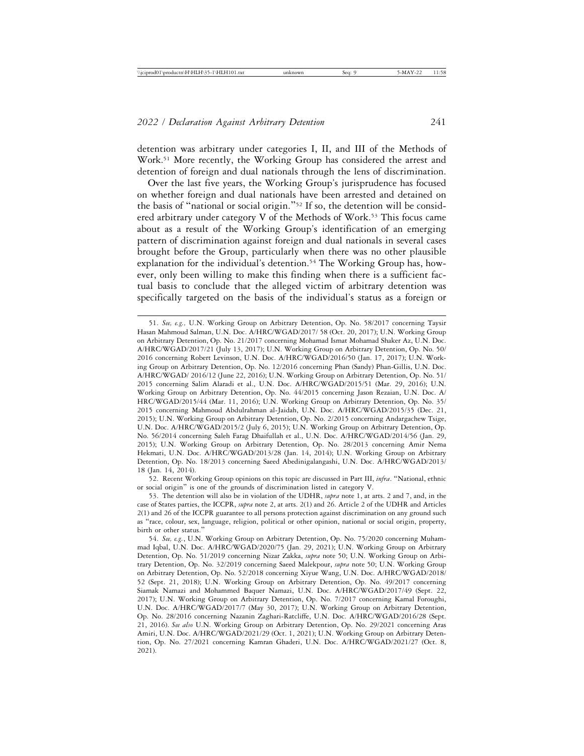detention was arbitrary under categories I, II, and III of the Methods of Work.<sup>51</sup> More recently, the Working Group has considered the arrest and detention of foreign and dual nationals through the lens of discrimination.

Over the last five years, the Working Group's jurisprudence has focused on whether foreign and dual nationals have been arrested and detained on the basis of "national or social origin."52 If so, the detention will be considered arbitrary under category V of the Methods of Work.<sup>53</sup> This focus came about as a result of the Working Group's identification of an emerging pattern of discrimination against foreign and dual nationals in several cases brought before the Group, particularly when there was no other plausible explanation for the individual's detention.<sup>54</sup> The Working Group has, however, only been willing to make this finding when there is a sufficient factual basis to conclude that the alleged victim of arbitrary detention was specifically targeted on the basis of the individual's status as a foreign or

52. Recent Working Group opinions on this topic are discussed in Part III, *infra*. "National, ethnic or social origin" is one of the grounds of discrimination listed in category V.

<sup>51.</sup> *See, e.g.,* U.N. Working Group on Arbitrary Detention, Op. No. 58/2017 concerning Taysir Hasan Mahmoud Salman, U.N. Doc. A/HRC/WGAD/2017/ 58 (Oct. 20, 2017); U.N. Working Group on Arbitrary Detention, Op. No. 21/2017 concerning Mohamad Ismat Mohamad Shaker Az, U.N. Doc. A/HRC/WGAD/2017/21 (July 13, 2017); U.N. Working Group on Arbitrary Detention, Op. No. 50/ 2016 concerning Robert Levinson, U.N. Doc. A/HRC/WGAD/2016/50 (Jan. 17, 2017); U.N. Working Group on Arbitrary Detention, Op. No. 12/2016 concerning Phan (Sandy) Phan-Gillis, U.N. Doc. A/HRC/WGAD/ 2016/12 (June 22, 2016); U.N. Working Group on Arbitrary Detention, Op. No. 51/ 2015 concerning Salim Alaradi et al., U.N. Doc. A/HRC/WGAD/2015/51 (Mar. 29, 2016); U.N. Working Group on Arbitrary Detention, Op. No. 44/2015 concerning Jason Rezaian, U.N. Doc. A/ HRC/WGAD/2015/44 (Mar. 11, 2016); U.N. Working Group on Arbitrary Detention, Op. No. 35/ 2015 concerning Mahmoud Abdulrahman al-Jaidah, U.N. Doc. A/HRC/WGAD/2015/35 (Dec. 21, 2015); U.N. Working Group on Arbitrary Detention, Op. No. 2/2015 concerning Andargachew Tsige, U.N. Doc. A/HRC/WGAD/2015/2 (July 6, 2015); U.N. Working Group on Arbitrary Detention, Op. No. 56/2014 concerning Saleh Farag Dhaifullah et al., U.N. Doc. A/HRC/WGAD/2014/56 (Jan. 29, 2015); U.N. Working Group on Arbitrary Detention, Op. No. 28/2013 concerning Amir Nema Hekmati, U.N. Doc. A/HRC/WGAD/2013/28 (Jan. 14, 2014); U.N. Working Group on Arbitrary Detention, Op. No. 18/2013 concerning Saeed Abedinigalangashi, U.N. Doc. A/HRC/WGAD/2013/ 18 (Jan. 14, 2014).

<sup>53.</sup> The detention will also be in violation of the UDHR, *supra* note 1, at arts. 2 and 7, and, in the case of States parties, the ICCPR, *supra* note 2, at arts. 2(1) and 26. Article 2 of the UDHR and Articles 2(1) and 26 of the ICCPR guarantee to all persons protection against discrimination on any ground such as "race, colour, sex, language, religion, political or other opinion, national or social origin, property, birth or other status."

<sup>54.</sup> *See, e.g.*, U.N. Working Group on Arbitrary Detention, Op. No. 75/2020 concerning Muhammad Iqbal, U.N. Doc. A/HRC/WGAD/2020/75 (Jan. 29, 2021); U.N. Working Group on Arbitrary Detention, Op. No. 51/2019 concerning Nizar Zakka, *supra* note 50; U.N. Working Group on Arbitrary Detention, Op. No. 32/2019 concerning Saeed Malekpour, *supra* note 50; U.N. Working Group on Arbitrary Detention, Op. No. 52/2018 concerning Xiyue Wang, U.N. Doc. A/HRC/WGAD/2018/ 52 (Sept. 21, 2018); U.N. Working Group on Arbitrary Detention, Op. No. 49/2017 concerning Siamak Namazi and Mohammed Baquer Namazi, U.N. Doc. A/HRC/WGAD/2017/49 (Sept. 22, 2017); U.N. Working Group on Arbitrary Detention, Op. No. 7/2017 concerning Kamal Foroughi, U.N. Doc. A/HRC/WGAD/2017/7 (May 30, 2017); U.N. Working Group on Arbitrary Detention, Op. No. 28/2016 concerning Nazanin Zaghari-Ratcliffe, U.N. Doc. A/HRC/WGAD/2016/28 (Sept. 21, 2016). *See also* U.N. Working Group on Arbitrary Detention, Op. No. 29/2021 concerning Aras Amiri, U.N. Doc. A/HRC/WGAD/2021/29 (Oct. 1, 2021); U.N. Working Group on Arbitrary Detention, Op. No. 27/2021 concerning Kamran Ghaderi, U.N. Doc. A/HRC/WGAD/2021/27 (Oct. 8, 2021).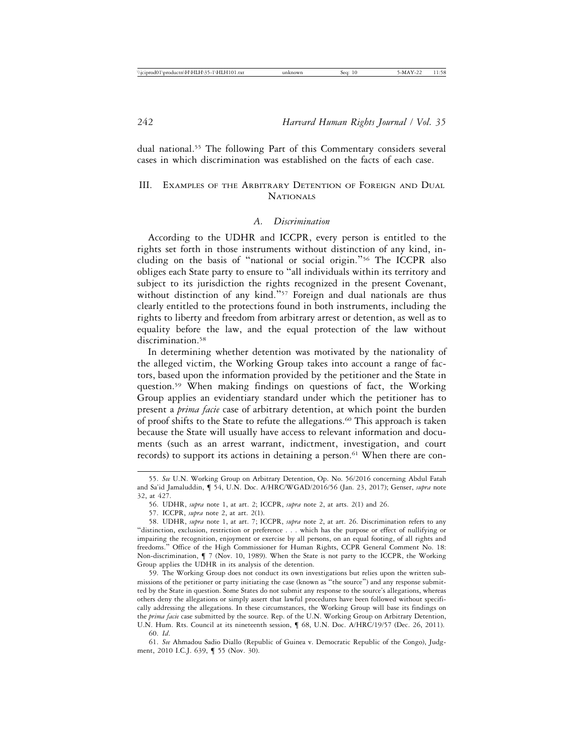dual national.55 The following Part of this Commentary considers several cases in which discrimination was established on the facts of each case.

## III. EXAMPLES OF THE ARBITRARY DETENTION OF FOREIGN AND DUAL **NATIONALS**

### *A. Discrimination*

According to the UDHR and ICCPR, every person is entitled to the rights set forth in those instruments without distinction of any kind, including on the basis of "national or social origin."56 The ICCPR also obliges each State party to ensure to "all individuals within its territory and subject to its jurisdiction the rights recognized in the present Covenant, without distinction of any kind."<sup>57</sup> Foreign and dual nationals are thus clearly entitled to the protections found in both instruments, including the rights to liberty and freedom from arbitrary arrest or detention, as well as to equality before the law, and the equal protection of the law without discrimination.<sup>58</sup>

In determining whether detention was motivated by the nationality of the alleged victim, the Working Group takes into account a range of factors, based upon the information provided by the petitioner and the State in question.59 When making findings on questions of fact, the Working Group applies an evidentiary standard under which the petitioner has to present a *prima facie* case of arbitrary detention, at which point the burden of proof shifts to the State to refute the allegations.60 This approach is taken because the State will usually have access to relevant information and documents (such as an arrest warrant, indictment, investigation, and court records) to support its actions in detaining a person.<sup>61</sup> When there are con-

59. The Working Group does not conduct its own investigations but relies upon the written submissions of the petitioner or party initiating the case (known as "the source") and any response submitted by the State in question. Some States do not submit any response to the source's allegations, whereas others deny the allegations or simply assert that lawful procedures have been followed without specifically addressing the allegations. In these circumstances, the Working Group will base its findings on the *prima facie* case submitted by the source. Rep. of the U.N. Working Group on Arbitrary Detention, U.N. Hum. Rts. Council at its nineteenth session, ¶ 68, U.N. Doc. A/HRC/19/57 (Dec. 26, 2011).

60. *Id*.

61. *See* Ahmadou Sadio Diallo (Republic of Guinea v. Democratic Republic of the Congo), Judgment, 2010 I.C.J. 639, ¶ 55 (Nov. 30).

<sup>55.</sup> *See* U.N. Working Group on Arbitrary Detention, Op. No. 56/2016 concerning Abdul Fatah and Sa'id Jamaluddin, ¶ 54, U.N. Doc. A/HRC/WGAD/2016/56 (Jan. 23, 2017); Genser, *supra* note 32, at 427.

<sup>56.</sup> UDHR, *supra* note 1, at art. 2; ICCPR, *supra* note 2, at arts. 2(1) and 26.

<sup>57.</sup> ICCPR, *supra* note 2, at art. 2(1).

<sup>58.</sup> UDHR, *supra* note 1, at art. 7; ICCPR, *supra* note 2, at art. 26. Discrimination refers to any "distinction, exclusion, restriction or preference . . . which has the purpose or effect of nullifying or impairing the recognition, enjoyment or exercise by all persons, on an equal footing, of all rights and freedoms." Office of the High Commissioner for Human Rights, CCPR General Comment No. 18: Non-discrimination, ¶ 7 (Nov. 10, 1989). When the State is not party to the ICCPR, the Working Group applies the UDHR in its analysis of the detention.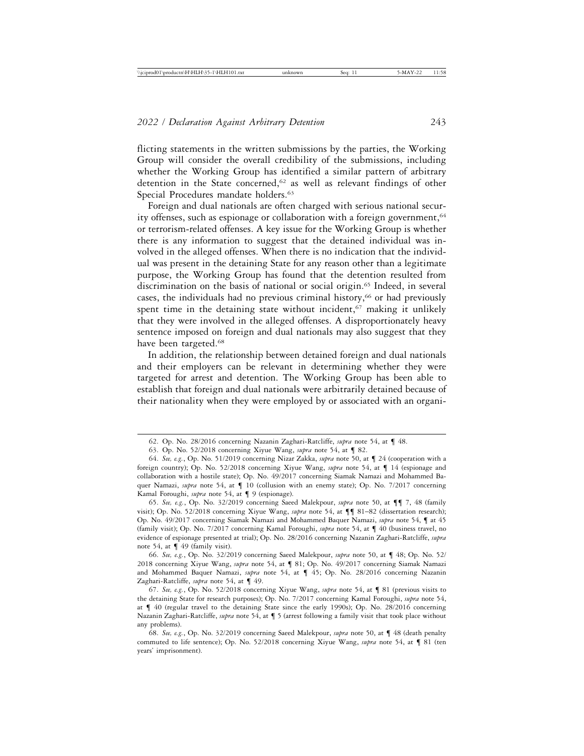flicting statements in the written submissions by the parties, the Working Group will consider the overall credibility of the submissions, including whether the Working Group has identified a similar pattern of arbitrary detention in the State concerned,<sup>62</sup> as well as relevant findings of other Special Procedures mandate holders.<sup>63</sup>

Foreign and dual nationals are often charged with serious national security offenses, such as espionage or collaboration with a foreign government,<sup>64</sup> or terrorism-related offenses. A key issue for the Working Group is whether there is any information to suggest that the detained individual was involved in the alleged offenses. When there is no indication that the individual was present in the detaining State for any reason other than a legitimate purpose, the Working Group has found that the detention resulted from discrimination on the basis of national or social origin.<sup>65</sup> Indeed, in several cases, the individuals had no previous criminal history,66 or had previously spent time in the detaining state without incident, $67$  making it unlikely that they were involved in the alleged offenses. A disproportionately heavy sentence imposed on foreign and dual nationals may also suggest that they have been targeted.<sup>68</sup>

In addition, the relationship between detained foreign and dual nationals and their employers can be relevant in determining whether they were targeted for arrest and detention. The Working Group has been able to establish that foreign and dual nationals were arbitrarily detained because of their nationality when they were employed by or associated with an organi-

<sup>62.</sup> Op. No. 28/2016 concerning Nazanin Zaghari-Ratcliffe, *supra* note 54, at ¶ 48.

<sup>63.</sup> Op. No. 52/2018 concerning Xiyue Wang, *supra* note 54, at ¶ 82.

<sup>64.</sup> *See, e.g.*, Op. No. 51/2019 concerning Nizar Zakka, *supra* note 50, at ¶ 24 (cooperation with a foreign country); Op. No. 52/2018 concerning Xiyue Wang, *supra* note 54, at ¶ 14 (espionage and collaboration with a hostile state); Op. No. 49/2017 concerning Siamak Namazi and Mohammed Baquer Namazi, *supra* note 54, at ¶ 10 (collusion with an enemy state); Op. No. 7/2017 concerning Kamal Foroughi, *supra* note 54, at ¶ 9 (espionage).

<sup>65.</sup> *See, e.g.*, Op. No. 32/2019 concerning Saeed Malekpour, *supra* note 50, at ¶¶ 7, 48 (family visit); Op. No. 52/2018 concerning Xiyue Wang, *supra* note 54, at ¶¶ 81–82 (dissertation research); Op. No. 49/2017 concerning Siamak Namazi and Mohammed Baquer Namazi, *supra* note 54, ¶ at 45 (family visit); Op. No. 7/2017 concerning Kamal Foroughi, *supra* note 54, at ¶ 40 (business travel, no evidence of espionage presented at trial); Op. No. 28/2016 concerning Nazanin Zaghari-Ratcliffe, *supra* note 54, at ¶ 49 (family visit).

<sup>66.</sup> *See, e.g.*, Op. No. 32/2019 concerning Saeed Malekpour, *supra* note 50, at ¶ 48; Op. No. 52/ 2018 concerning Xiyue Wang, *supra* note 54, at ¶ 81; Op. No. 49/2017 concerning Siamak Namazi and Mohammed Baquer Namazi, *supra* note 54, at ¶ 45; Op. No. 28/2016 concerning Nazanin Zaghari-Ratcliffe, *supra* note 54, at ¶ 49.

<sup>67.</sup> *See, e.g.*, Op. No. 52/2018 concerning Xiyue Wang, *supra* note 54, at ¶ 81 (previous visits to the detaining State for research purposes); Op. No. 7/2017 concerning Kamal Foroughi, *supra* note 54, at ¶ 40 (regular travel to the detaining State since the early 1990s); Op. No. 28/2016 concerning Nazanin Zaghari-Ratcliffe, *supra* note 54, at ¶ 5 (arrest following a family visit that took place without any problems).

<sup>68.</sup> *See, e.g.*, Op. No. 32/2019 concerning Saeed Malekpour, *supra* note 50, at ¶ 48 (death penalty commuted to life sentence); Op. No. 52/2018 concerning Xiyue Wang, *supra* note 54, at ¶ 81 (ten years' imprisonment).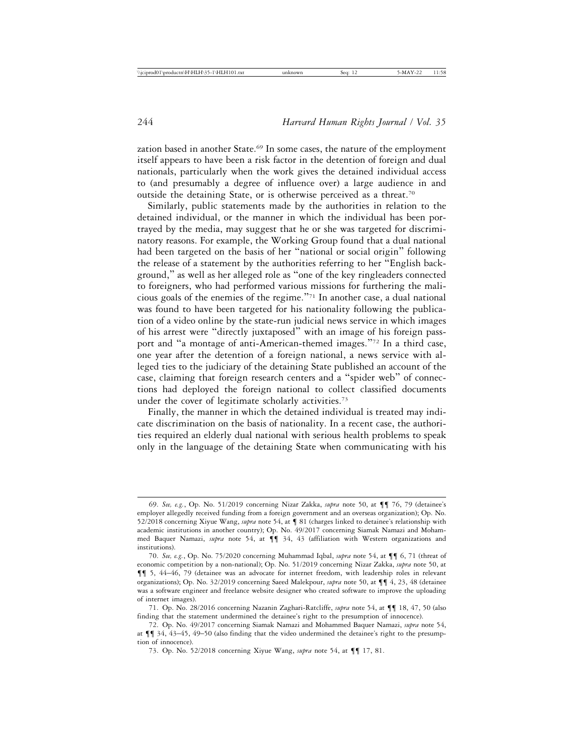zation based in another State.<sup>69</sup> In some cases, the nature of the employment itself appears to have been a risk factor in the detention of foreign and dual nationals, particularly when the work gives the detained individual access to (and presumably a degree of influence over) a large audience in and outside the detaining State, or is otherwise perceived as a threat.<sup>70</sup>

Similarly, public statements made by the authorities in relation to the detained individual, or the manner in which the individual has been portrayed by the media, may suggest that he or she was targeted for discriminatory reasons. For example, the Working Group found that a dual national had been targeted on the basis of her "national or social origin" following the release of a statement by the authorities referring to her "English background," as well as her alleged role as "one of the key ringleaders connected to foreigners, who had performed various missions for furthering the malicious goals of the enemies of the regime."71 In another case, a dual national was found to have been targeted for his nationality following the publication of a video online by the state-run judicial news service in which images of his arrest were "directly juxtaposed" with an image of his foreign passport and "a montage of anti-American-themed images."72 In a third case, one year after the detention of a foreign national, a news service with alleged ties to the judiciary of the detaining State published an account of the case, claiming that foreign research centers and a "spider web" of connections had deployed the foreign national to collect classified documents under the cover of legitimate scholarly activities.<sup>73</sup>

Finally, the manner in which the detained individual is treated may indicate discrimination on the basis of nationality. In a recent case, the authorities required an elderly dual national with serious health problems to speak only in the language of the detaining State when communicating with his

<sup>69.</sup> *See, e.g.*, Op. No. 51/2019 concerning Nizar Zakka, *supra* note 50, at ¶¶ 76, 79 (detainee's employer allegedly received funding from a foreign government and an overseas organization); Op. No. 52/2018 concerning Xiyue Wang, *supra* note 54, at ¶ 81 (charges linked to detainee's relationship with academic institutions in another country); Op. No. 49/2017 concerning Siamak Namazi and Mohammed Baquer Namazi, *supra* note 54, at ¶¶ 34, 43 (affiliation with Western organizations and institutions).

<sup>70.</sup> *See, e.g.*, Op. No. 75/2020 concerning Muhammad Iqbal, *supra* note 54, at ¶¶ 6, 71 (threat of economic competition by a non-national); Op. No. 51/2019 concerning Nizar Zakka, *supra* note 50, at ¶¶ 5, 44–46, 79 (detainee was an advocate for internet freedom, with leadership roles in relevant organizations); Op. No. 32/2019 concerning Saeed Malekpour, *supra* note 50, at ¶¶ 4, 23, 48 (detainee was a software engineer and freelance website designer who created software to improve the uploading of internet images).

<sup>71.</sup> Op. No. 28/2016 concerning Nazanin Zaghari-Ratcliffe, *supra* note 54, at ¶¶ 18, 47, 50 (also finding that the statement undermined the detainee's right to the presumption of innocence).

<sup>72.</sup> Op. No. 49/2017 concerning Siamak Namazi and Mohammed Baquer Namazi, *supra* note 54, at ¶¶ 34, 43–45, 49–50 (also finding that the video undermined the detainee's right to the presumption of innocence).

<sup>73.</sup> Op. No. 52/2018 concerning Xiyue Wang, *supra* note 54, at ¶¶ 17, 81.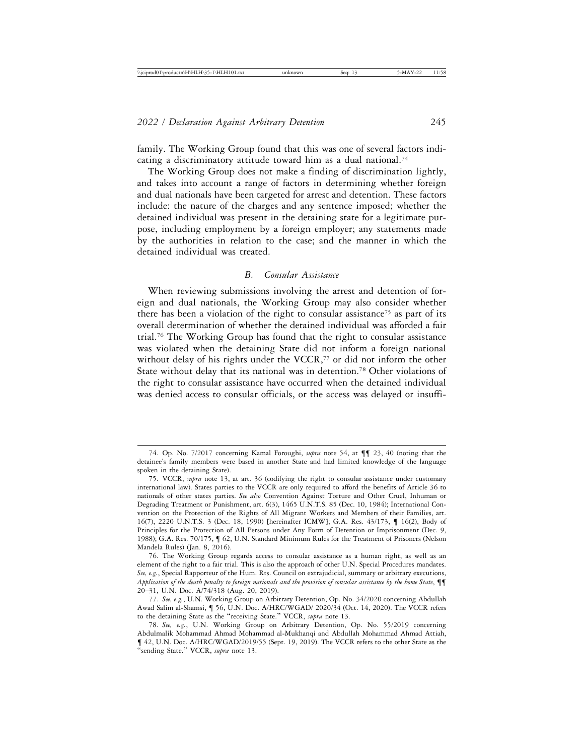family. The Working Group found that this was one of several factors indicating a discriminatory attitude toward him as a dual national.74

The Working Group does not make a finding of discrimination lightly, and takes into account a range of factors in determining whether foreign and dual nationals have been targeted for arrest and detention. These factors include: the nature of the charges and any sentence imposed; whether the detained individual was present in the detaining state for a legitimate purpose, including employment by a foreign employer; any statements made by the authorities in relation to the case; and the manner in which the detained individual was treated.

### *B. Consular Assistance*

When reviewing submissions involving the arrest and detention of foreign and dual nationals, the Working Group may also consider whether there has been a violation of the right to consular assistance<sup>75</sup> as part of its overall determination of whether the detained individual was afforded a fair trial.76 The Working Group has found that the right to consular assistance was violated when the detaining State did not inform a foreign national without delay of his rights under the  $VCCR$ ,<sup> $77$ </sup> or did not inform the other State without delay that its national was in detention.78 Other violations of the right to consular assistance have occurred when the detained individual was denied access to consular officials, or the access was delayed or insuffi-

<sup>74.</sup> Op. No. 7/2017 concerning Kamal Foroughi, *supra* note 54, at ¶¶ 23, 40 (noting that the detainee's family members were based in another State and had limited knowledge of the language spoken in the detaining State).

<sup>75.</sup> VCCR, *supra* note 13, at art. 36 (codifying the right to consular assistance under customary international law). States parties to the VCCR are only required to afford the benefits of Article 36 to nationals of other states parties. *See also* Convention Against Torture and Other Cruel, Inhuman or Degrading Treatment or Punishment, art. 6(3), 1465 U.N.T.S. 85 (Dec. 10, 1984); International Convention on the Protection of the Rights of All Migrant Workers and Members of their Families, art. 16(7), 2220 U.N.T.S. 3 (Dec. 18, 1990) [hereinafter ICMW]; G.A. Res. 43/173, ¶ 16(2), Body of Principles for the Protection of All Persons under Any Form of Detention or Imprisonment (Dec. 9, 1988); G.A. Res. 70/175, ¶ 62, U.N. Standard Minimum Rules for the Treatment of Prisoners (Nelson Mandela Rules) (Jan. 8, 2016).

<sup>76.</sup> The Working Group regards access to consular assistance as a human right, as well as an element of the right to a fair trial. This is also the approach of other U.N. Special Procedures mandates. *See, e.g.*, Special Rapporteur of the Hum. Rts. Council on extrajudicial, summary or arbitrary executions, *Application of the death penalty to foreign nationals and the provision of consular assistance by the home State*, ¶¶ 20–31, U.N. Doc. A/74/318 (Aug. 20, 2019).

<sup>77.</sup> *See, e.g.*, U.N. Working Group on Arbitrary Detention, Op. No. 34/2020 concerning Abdullah Awad Salim al-Shamsi, ¶ 56, U.N. Doc. A/HRC/WGAD/ 2020/34 (Oct. 14, 2020). The VCCR refers to the detaining State as the "receiving State." VCCR, *supra* note 13.

<sup>78.</sup> *See, e.g.*, U.N. Working Group on Arbitrary Detention, Op. No. 55/2019 concerning Abdulmalik Mohammad Ahmad Mohammad al-Mukhanqi and Abdullah Mohammad Ahmad Attiah, ¶ 42, U.N. Doc. A/HRC/WGAD/2019/55 (Sept. 19, 2019). The VCCR refers to the other State as the "sending State." VCCR, *supra* note 13.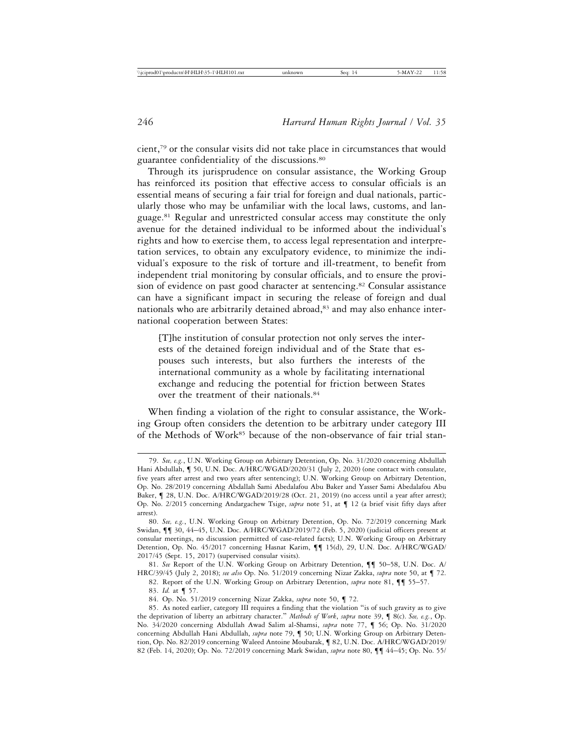cient,79 or the consular visits did not take place in circumstances that would guarantee confidentiality of the discussions.80

Through its jurisprudence on consular assistance, the Working Group has reinforced its position that effective access to consular officials is an essential means of securing a fair trial for foreign and dual nationals, particularly those who may be unfamiliar with the local laws, customs, and language.81 Regular and unrestricted consular access may constitute the only avenue for the detained individual to be informed about the individual's rights and how to exercise them, to access legal representation and interpretation services, to obtain any exculpatory evidence, to minimize the individual's exposure to the risk of torture and ill-treatment, to benefit from independent trial monitoring by consular officials, and to ensure the provision of evidence on past good character at sentencing.<sup>82</sup> Consular assistance can have a significant impact in securing the release of foreign and dual nationals who are arbitrarily detained abroad,<sup>83</sup> and may also enhance international cooperation between States:

[T]he institution of consular protection not only serves the interests of the detained foreign individual and of the State that espouses such interests, but also furthers the interests of the international community as a whole by facilitating international exchange and reducing the potential for friction between States over the treatment of their nationals.84

When finding a violation of the right to consular assistance, the Working Group often considers the detention to be arbitrary under category III of the Methods of Work<sup>85</sup> because of the non-observance of fair trial stan-

83. *Id.* at ¶ 57.

<sup>79.</sup> *See, e.g.*, U.N. Working Group on Arbitrary Detention, Op. No. 31/2020 concerning Abdullah Hani Abdullah, ¶ 50, U.N. Doc. A/HRC/WGAD/2020/31 (July 2, 2020) (one contact with consulate, five years after arrest and two years after sentencing); U.N. Working Group on Arbitrary Detention, Op. No. 28/2019 concerning Abdallah Sami Abedalafou Abu Baker and Yasser Sami Abedalafou Abu Baker,  $\P$  28, U.N. Doc. A/HRC/WGAD/2019/28 (Oct. 21, 2019) (no access until a year after arrest); Op. No. 2/2015 concerning Andargachew Tsige, *supra* note 51, at ¶ 12 (a brief visit fifty days after arrest).

<sup>80.</sup> *See, e.g.*, U.N. Working Group on Arbitrary Detention, Op. No. 72/2019 concerning Mark Swidan, ¶¶ 30, 44–45, U.N. Doc. A/HRC/WGAD/2019/72 (Feb. 5, 2020) (judicial officers present at consular meetings, no discussion permitted of case-related facts); U.N. Working Group on Arbitrary Detention, Op. No. 45/2017 concerning Hasnat Karim, ¶¶ 15(d), 29, U.N. Doc. A/HRC/WGAD/ 2017/45 (Sept. 15, 2017) (supervised consular visits).

<sup>81.</sup> *See* Report of the U.N. Working Group on Arbitrary Detention, ¶¶ 50–58, U.N. Doc. A/ HRC/39/45 (July 2, 2018); *see also* Op. No. 51/2019 concerning Nizar Zakka, *supra* note 50, at ¶ 72.

<sup>82.</sup> Report of the U.N. Working Group on Arbitrary Detention, *supra* note 81, ¶¶ 55–57.

<sup>84.</sup> Op. No. 51/2019 concerning Nizar Zakka, *supra* note 50, ¶ 72.

<sup>85.</sup> As noted earlier, category III requires a finding that the violation "is of such gravity as to give the deprivation of liberty an arbitrary character." *Methods of Work*, *supra* note 39, ¶ 8(c). *See, e.g.*, Op. No. 34/2020 concerning Abdullah Awad Salim al-Shamsi, *supra* note 77, ¶ 56; Op. No. 31/2020 concerning Abdullah Hani Abdullah, *supra* note 79, ¶ 50; U.N. Working Group on Arbitrary Detention, Op. No. 82/2019 concerning Waleed Antoine Moubarak, ¶ 82, U.N. Doc. A/HRC/WGAD/2019/ 82 (Feb. 14, 2020); Op. No. 72/2019 concerning Mark Swidan, *supra* note 80, ¶¶ 44–45; Op. No. 55/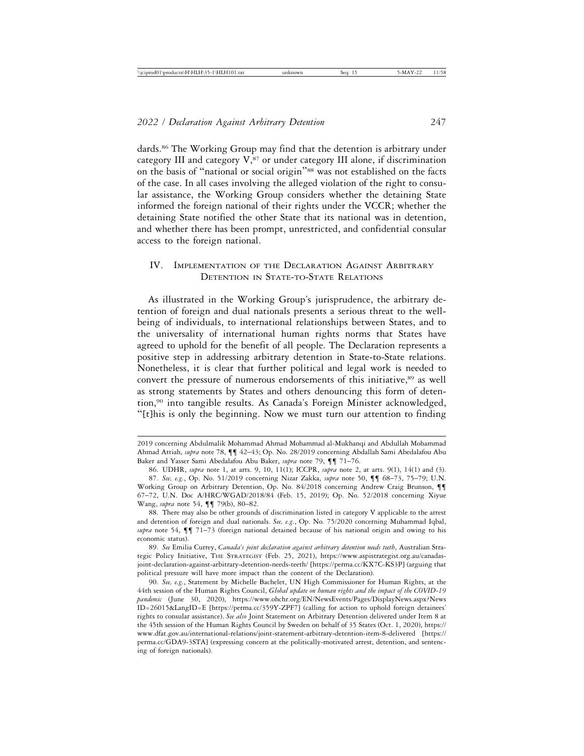dards.86 The Working Group may find that the detention is arbitrary under category III and category  $V$ , $87$  or under category III alone, if discrimination on the basis of "national or social origin"88 was not established on the facts of the case. In all cases involving the alleged violation of the right to consular assistance, the Working Group considers whether the detaining State informed the foreign national of their rights under the VCCR; whether the detaining State notified the other State that its national was in detention, and whether there has been prompt, unrestricted, and confidential consular access to the foreign national.

## IV. IMPLEMENTATION OF THE DECLARATION AGAINST ARBITRARY DETENTION IN STATE-TO-STATE RELATIONS

As illustrated in the Working Group's jurisprudence, the arbitrary detention of foreign and dual nationals presents a serious threat to the wellbeing of individuals, to international relationships between States, and to the universality of international human rights norms that States have agreed to uphold for the benefit of all people. The Declaration represents a positive step in addressing arbitrary detention in State-to-State relations. Nonetheless, it is clear that further political and legal work is needed to convert the pressure of numerous endorsements of this initiative,<sup>89</sup> as well as strong statements by States and others denouncing this form of detention,90 into tangible results. As Canada's Foreign Minister acknowledged, "[t]his is only the beginning. Now we must turn our attention to finding

<sup>2019</sup> concerning Abdulmalik Mohammad Ahmad Mohammad al-Mukhanqi and Abdullah Mohammad Ahmad Attiah, *supra* note 78, ¶¶ 42–43; Op. No. 28/2019 concerning Abdallah Sami Abedalafou Abu Baker and Yasser Sami Abedalafou Abu Baker, *supra* note 79, ¶¶ 71–76.

<sup>86.</sup> UDHR, *supra* note 1, at arts. 9, 10, 11(1); ICCPR, *supra* note 2, at arts. 9(1), 14(1) and (3). 87. *See, e.g.*, Op. No. 51/2019 concerning Nizar Zakka, *supra* note 50, ¶¶ 68–73, 75–79; U.N. Working Group on Arbitrary Detention, Op. No. 84/2018 concerning Andrew Craig Brunson, ¶¶ 67–72, U.N. Doc A/HRC/WGAD/2018/84 (Feb. 15, 2019); Op. No. 52/2018 concerning Xiyue Wang, *supra* note 54, ¶¶ 79(b), 80–82.

<sup>88.</sup> There may also be other grounds of discrimination listed in category V applicable to the arrest and detention of foreign and dual nationals. *See, e.g.*, Op. No. 75/2020 concerning Muhammad Iqbal, *supra* note 54, ¶¶ 71–73 (foreign national detained because of his national origin and owing to his economic status).

<sup>89.</sup> *See* Emilia Currey, *Canada's joint declaration against arbitrary detention needs teeth*, Australian Strategic Policy Initiative, THE STRATEGIST (Feb. 25, 2021), https://www.aspistrategist.org.au/canadasjoint-declaration-against-arbitrary-detention-needs-teeth/ [https://perma.cc/KX7C-KS3P] (arguing that political pressure will have more impact than the content of the Declaration).

<sup>90.</sup> *See, e.g.*, Statement by Michelle Bachelet, UN High Commissioner for Human Rights, at the 44th session of the Human Rights Council, *Global update on human rights and the impact of the COVID-19 pandemic* (June 30, 2020), https://www.ohchr.org/EN/NewsEvents/Pages/DisplayNews.aspx?News ID=26015&LangID=E [https://perma.cc/359Y-ZPF7] (calling for action to uphold foreign detainees' rights to consular assistance). *See also* Joint Statement on Arbitrary Detention delivered under Item 8 at the 45th session of the Human Rights Council by Sweden on behalf of 35 States (Oct. 1, 2020), https:// www.dfat.gov.au/international-relations/joint-statement-arbitrary-detention-item-8-delivered [https:// perma.cc/GDA9-3STA] (expressing concern at the politically-motivated arrest, detention, and sentencing of foreign nationals).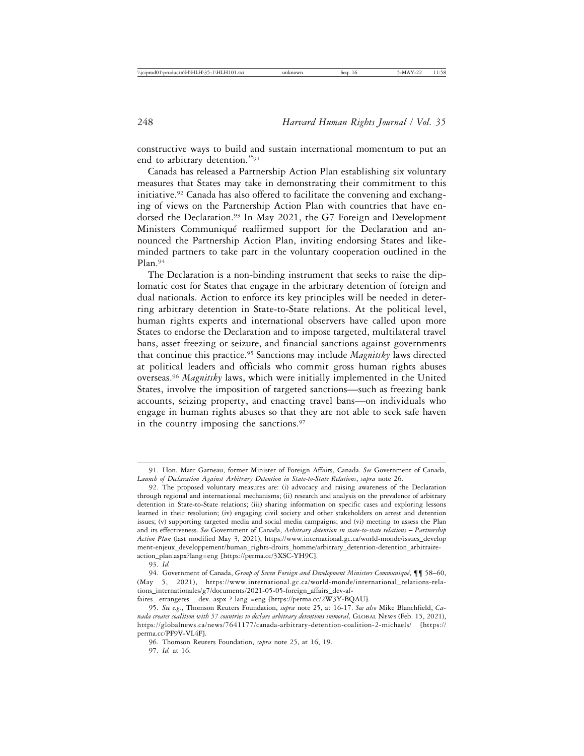constructive ways to build and sustain international momentum to put an end to arbitrary detention."<sup>91</sup>

Canada has released a Partnership Action Plan establishing six voluntary measures that States may take in demonstrating their commitment to this initiative.92 Canada has also offered to facilitate the convening and exchanging of views on the Partnership Action Plan with countries that have endorsed the Declaration.<sup>93</sup> In May 2021, the G7 Foreign and Development Ministers Communiqué reaffirmed support for the Declaration and announced the Partnership Action Plan, inviting endorsing States and likeminded partners to take part in the voluntary cooperation outlined in the Plan.94

The Declaration is a non-binding instrument that seeks to raise the diplomatic cost for States that engage in the arbitrary detention of foreign and dual nationals. Action to enforce its key principles will be needed in deterring arbitrary detention in State-to-State relations. At the political level, human rights experts and international observers have called upon more States to endorse the Declaration and to impose targeted, multilateral travel bans, asset freezing or seizure, and financial sanctions against governments that continue this practice.95 Sanctions may include *Magnitsky* laws directed at political leaders and officials who commit gross human rights abuses overseas.96 *Magnitsky* laws, which were initially implemented in the United States, involve the imposition of targeted sanctions—such as freezing bank accounts, seizing property, and enacting travel bans—on individuals who engage in human rights abuses so that they are not able to seek safe haven in the country imposing the sanctions.<sup>97</sup>

<sup>91.</sup> Hon. Marc Garneau, former Minister of Foreign Affairs, Canada. *See* Government of Canada, *Launch of Declaration Against Arbitrary Detention in State-to-State Relations*, *supra* note 26.

<sup>92.</sup> The proposed voluntary measures are: (i) advocacy and raising awareness of the Declaration through regional and international mechanisms; (ii) research and analysis on the prevalence of arbitrary detention in State-to-State relations; (iii) sharing information on specific cases and exploring lessons learned in their resolution; (iv) engaging civil society and other stakeholders on arrest and detention issues; (v) supporting targeted media and social media campaigns; and (vi) meeting to assess the Plan and its effectiveness. See Government of Canada, *Arbitrary detention in state-to-state relations – Partnership Action Plan* (last modified May 3, 2021), https://www.international.gc.ca/world-monde/issues\_develop ment-enjeux\_developpement/human\_rights-droits\_homme/arbitrary\_detention-detention\_arbitraireaction\_plan.aspx?lang=eng [https://perma.cc/3XSC-YH9C].

<sup>93.</sup> *Id.*

<sup>94.</sup> Government of Canada, *Group of Seven Foreign and Development Ministers Communiqué*, ¶¶ 58–60, (May 5, 2021), https://www.international.gc.ca/world-monde/international\_relations-relations\_internationales/g7/documents/2021-05-05-foreign\_affairs\_dev-af-

faires\_ etrangeres \_ dev. aspx ? lang =eng [https://perma.cc/2W3Y-BQAU].

<sup>95.</sup> *See e.g.*, Thomson Reuters Foundation, *supra* note 25, at 16-17. *See also* Mike Blanchfield, *Canada creates coalition with 57 countries to declare arbitrary detentions immoral,* GLOBAL NEWS (Feb. 15, 2021), https://globalnews.ca/news/7641177/canada-arbitrary-detention-coalition-2-michaels/ [https:// perma.cc/PF9V-VL4F].

<sup>96.</sup> Thomson Reuters Foundation, *supra* note 25, at 16, 19. 97. *Id.* at 16.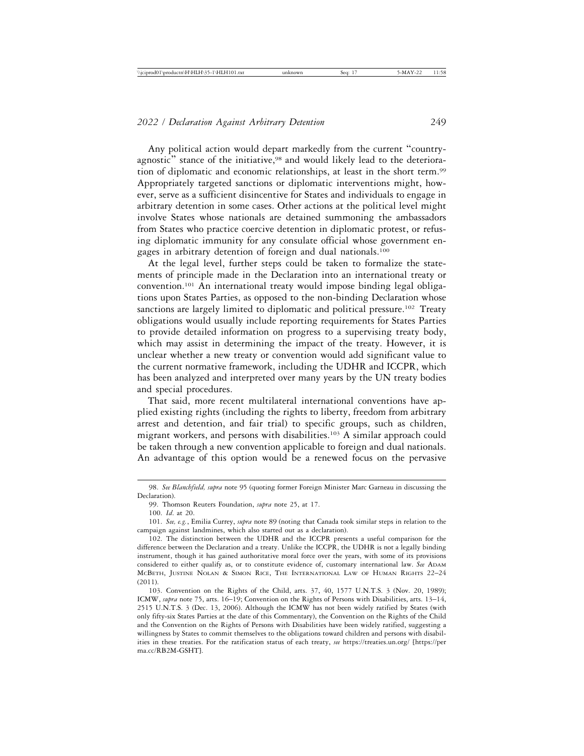Any political action would depart markedly from the current "countryagnostic" stance of the initiative,<sup>98</sup> and would likely lead to the deterioration of diplomatic and economic relationships, at least in the short term.99 Appropriately targeted sanctions or diplomatic interventions might, however, serve as a sufficient disincentive for States and individuals to engage in arbitrary detention in some cases. Other actions at the political level might involve States whose nationals are detained summoning the ambassadors from States who practice coercive detention in diplomatic protest, or refusing diplomatic immunity for any consulate official whose government engages in arbitrary detention of foreign and dual nationals.100

At the legal level, further steps could be taken to formalize the statements of principle made in the Declaration into an international treaty or convention.101 An international treaty would impose binding legal obligations upon States Parties, as opposed to the non-binding Declaration whose sanctions are largely limited to diplomatic and political pressure.<sup>102</sup> Treaty obligations would usually include reporting requirements for States Parties to provide detailed information on progress to a supervising treaty body, which may assist in determining the impact of the treaty. However, it is unclear whether a new treaty or convention would add significant value to the current normative framework, including the UDHR and ICCPR, which has been analyzed and interpreted over many years by the UN treaty bodies and special procedures.

That said, more recent multilateral international conventions have applied existing rights (including the rights to liberty, freedom from arbitrary arrest and detention, and fair trial) to specific groups, such as children, migrant workers, and persons with disabilities.<sup>103</sup> A similar approach could be taken through a new convention applicable to foreign and dual nationals. An advantage of this option would be a renewed focus on the pervasive

<sup>98.</sup> *See Blanchfield, supra* note 95 (quoting former Foreign Minister Marc Garneau in discussing the Declaration).

<sup>99.</sup> Thomson Reuters Foundation, *supra* note 25, at 17.

<sup>100.</sup> *Id*. at 20.

<sup>101.</sup> *See, e.g.*, Emilia Currey, *supra* note 89 (noting that Canada took similar steps in relation to the campaign against landmines, which also started out as a declaration).

<sup>102.</sup> The distinction between the UDHR and the ICCPR presents a useful comparison for the difference between the Declaration and a treaty. Unlike the ICCPR, the UDHR is not a legally binding instrument, though it has gained authoritative moral force over the years, with some of its provisions considered to either qualify as, or to constitute evidence of, customary international law. See ADAM MCBETH, JUSTINE NOLAN & SIMON RICE, THE INTERNATIONAL LAW OF HUMAN RIGHTS 22–24 (2011).

<sup>103.</sup> Convention on the Rights of the Child, arts. 37, 40, 1577 U.N.T.S. 3 (Nov. 20, 1989); ICMW, *supra* note 75, arts. 16–19; Convention on the Rights of Persons with Disabilities, arts. 13–14, 2515 U.N.T.S. 3 (Dec. 13, 2006). Although the ICMW has not been widely ratified by States (with only fifty-six States Parties at the date of this Commentary), the Convention on the Rights of the Child and the Convention on the Rights of Persons with Disabilities have been widely ratified, suggesting a willingness by States to commit themselves to the obligations toward children and persons with disabilities in these treaties. For the ratification status of each treaty, *see* https://treaties.un.org/ [https://per ma.cc/RB2M-GSHT].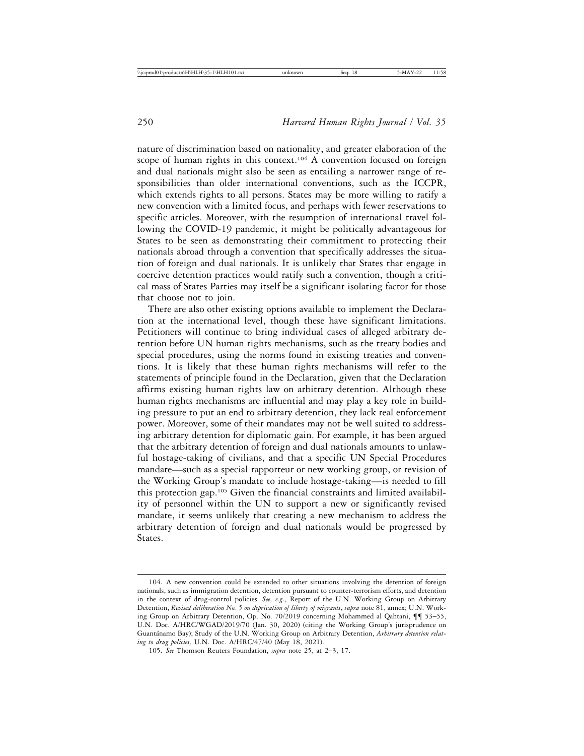nature of discrimination based on nationality, and greater elaboration of the scope of human rights in this context.<sup>104</sup> A convention focused on foreign and dual nationals might also be seen as entailing a narrower range of responsibilities than older international conventions, such as the ICCPR, which extends rights to all persons. States may be more willing to ratify a new convention with a limited focus, and perhaps with fewer reservations to specific articles. Moreover, with the resumption of international travel following the COVID-19 pandemic, it might be politically advantageous for States to be seen as demonstrating their commitment to protecting their nationals abroad through a convention that specifically addresses the situation of foreign and dual nationals. It is unlikely that States that engage in coercive detention practices would ratify such a convention, though a critical mass of States Parties may itself be a significant isolating factor for those that choose not to join.

There are also other existing options available to implement the Declaration at the international level, though these have significant limitations. Petitioners will continue to bring individual cases of alleged arbitrary detention before UN human rights mechanisms, such as the treaty bodies and special procedures, using the norms found in existing treaties and conventions. It is likely that these human rights mechanisms will refer to the statements of principle found in the Declaration, given that the Declaration affirms existing human rights law on arbitrary detention. Although these human rights mechanisms are influential and may play a key role in building pressure to put an end to arbitrary detention, they lack real enforcement power. Moreover, some of their mandates may not be well suited to addressing arbitrary detention for diplomatic gain. For example, it has been argued that the arbitrary detention of foreign and dual nationals amounts to unlawful hostage-taking of civilians, and that a specific UN Special Procedures mandate—such as a special rapporteur or new working group, or revision of the Working Group's mandate to include hostage-taking—is needed to fill this protection gap.105 Given the financial constraints and limited availability of personnel within the UN to support a new or significantly revised mandate, it seems unlikely that creating a new mechanism to address the arbitrary detention of foreign and dual nationals would be progressed by States.

<sup>104.</sup> A new convention could be extended to other situations involving the detention of foreign nationals, such as immigration detention, detention pursuant to counter-terrorism efforts, and detention in the context of drug-control policies. *See, e.g.*, Report of the U.N. Working Group on Arbitrary Detention, *Revised deliberation No. 5 on deprivation of liberty of migrants*, *supra* note 81, annex; U.N. Working Group on Arbitrary Detention, Op. No. 70/2019 concerning Mohammed al Qahtani, ¶¶ 53–55, U.N. Doc. A/HRC/WGAD/2019/70 (Jan. 30, 2020) (citing the Working Group's jurisprudence on Guantánamo Bay); Study of the U.N. Working Group on Arbitrary Detention, *Arbitrary detention relating to drug policies,* U.N. Doc. A/HRC/47/40 (May 18, 2021).

<sup>105.</sup> *See* Thomson Reuters Foundation, *supra* note 25, at 2–3, 17.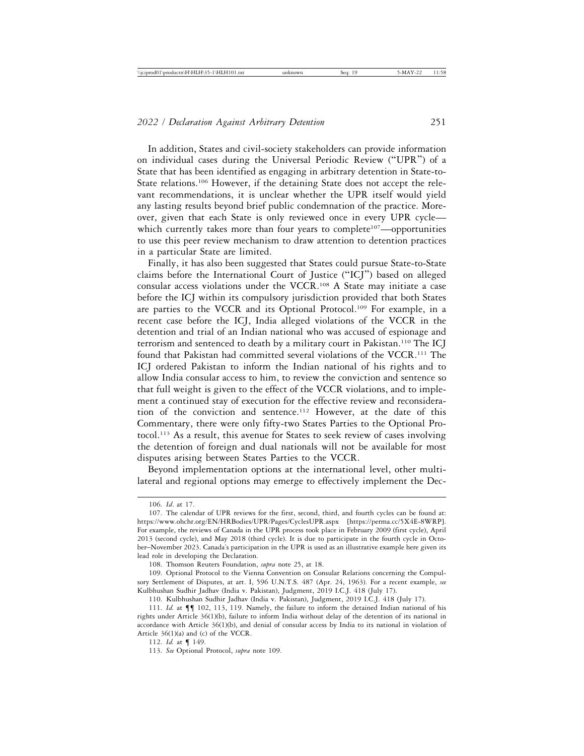In addition, States and civil-society stakeholders can provide information on individual cases during the Universal Periodic Review ("UPR") of a State that has been identified as engaging in arbitrary detention in State-to-State relations.<sup>106</sup> However, if the detaining State does not accept the relevant recommendations, it is unclear whether the UPR itself would yield any lasting results beyond brief public condemnation of the practice. Moreover, given that each State is only reviewed once in every UPR cycle which currently takes more than four years to complete<sup>107</sup>—opportunities to use this peer review mechanism to draw attention to detention practices in a particular State are limited.

Finally, it has also been suggested that States could pursue State-to-State claims before the International Court of Justice ("ICJ") based on alleged consular access violations under the VCCR.108 A State may initiate a case before the ICJ within its compulsory jurisdiction provided that both States are parties to the VCCR and its Optional Protocol.<sup>109</sup> For example, in a recent case before the ICJ, India alleged violations of the VCCR in the detention and trial of an Indian national who was accused of espionage and terrorism and sentenced to death by a military court in Pakistan.110 The ICJ found that Pakistan had committed several violations of the VCCR.111 The ICJ ordered Pakistan to inform the Indian national of his rights and to allow India consular access to him, to review the conviction and sentence so that full weight is given to the effect of the VCCR violations, and to implement a continued stay of execution for the effective review and reconsideration of the conviction and sentence.112 However, at the date of this Commentary, there were only fifty-two States Parties to the Optional Protocol.113 As a result, this avenue for States to seek review of cases involving the detention of foreign and dual nationals will not be available for most disputes arising between States Parties to the VCCR.

Beyond implementation options at the international level, other multilateral and regional options may emerge to effectively implement the Dec-

<sup>106.</sup> *Id*. at 17.

<sup>107.</sup> The calendar of UPR reviews for the first, second, third, and fourth cycles can be found at: https://www.ohchr.org/EN/HRBodies/UPR/Pages/CyclesUPR.aspx [https://perma.cc/5X4E-8WRP]. For example, the reviews of Canada in the UPR process took place in February 2009 (first cycle), April 2013 (second cycle), and May 2018 (third cycle). It is due to participate in the fourth cycle in October–November 2023. Canada's participation in the UPR is used as an illustrative example here given its lead role in developing the Declaration.

<sup>108.</sup> Thomson Reuters Foundation, *supra* note 25, at 18.

<sup>109.</sup> Optional Protocol to the Vienna Convention on Consular Relations concerning the Compulsory Settlement of Disputes, at art. I, 596 U.N.T.S. 487 (Apr. 24, 1963). For a recent example, *see* Kulbhushan Sudhir Jadhav (India v. Pakistan), Judgment, 2019 I.C.J. 418 (July 17).

<sup>110.</sup> Kulbhushan Sudhir Jadhav (India v. Pakistan), Judgment, 2019 I.C.J. 418 (July 17).

<sup>111.</sup> *Id.* at ¶¶ 102, 113, 119. Namely, the failure to inform the detained Indian national of his rights under Article 36(1)(b), failure to inform India without delay of the detention of its national in accordance with Article 36(1)(b), and denial of consular access by India to its national in violation of Article 36(1)(a) and (c) of the VCCR.

<sup>112.</sup> *Id.* at ¶ 149.

<sup>113.</sup> *See* Optional Protocol, *supra* note 109.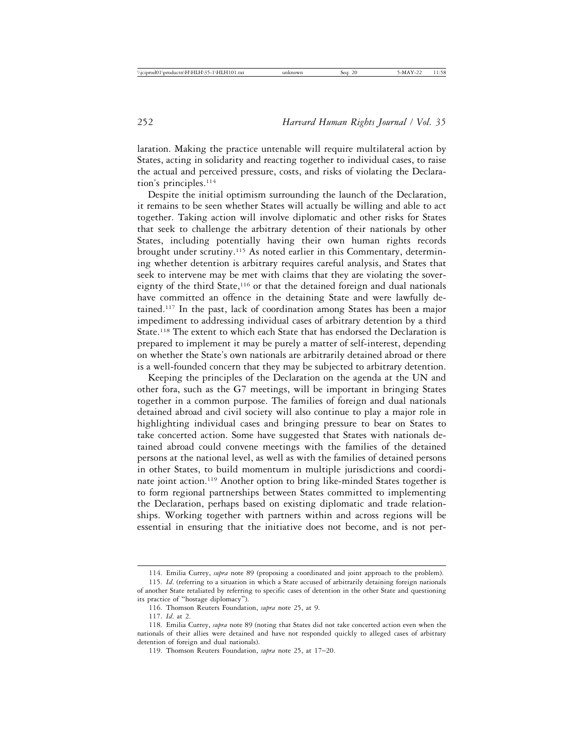laration. Making the practice untenable will require multilateral action by States, acting in solidarity and reacting together to individual cases, to raise the actual and perceived pressure, costs, and risks of violating the Declaration's principles.<sup>114</sup>

Despite the initial optimism surrounding the launch of the Declaration, it remains to be seen whether States will actually be willing and able to act together. Taking action will involve diplomatic and other risks for States that seek to challenge the arbitrary detention of their nationals by other States, including potentially having their own human rights records brought under scrutiny.115 As noted earlier in this Commentary, determining whether detention is arbitrary requires careful analysis, and States that seek to intervene may be met with claims that they are violating the sovereignty of the third State,<sup>116</sup> or that the detained foreign and dual nationals have committed an offence in the detaining State and were lawfully detained.117 In the past, lack of coordination among States has been a major impediment to addressing individual cases of arbitrary detention by a third State.<sup>118</sup> The extent to which each State that has endorsed the Declaration is prepared to implement it may be purely a matter of self-interest, depending on whether the State's own nationals are arbitrarily detained abroad or there is a well-founded concern that they may be subjected to arbitrary detention.

Keeping the principles of the Declaration on the agenda at the UN and other fora, such as the G7 meetings, will be important in bringing States together in a common purpose. The families of foreign and dual nationals detained abroad and civil society will also continue to play a major role in highlighting individual cases and bringing pressure to bear on States to take concerted action. Some have suggested that States with nationals detained abroad could convene meetings with the families of the detained persons at the national level, as well as with the families of detained persons in other States, to build momentum in multiple jurisdictions and coordinate joint action.119 Another option to bring like-minded States together is to form regional partnerships between States committed to implementing the Declaration, perhaps based on existing diplomatic and trade relationships. Working together with partners within and across regions will be essential in ensuring that the initiative does not become, and is not per-

<sup>114.</sup> Emilia Currey, *supra* note 89 (proposing a coordinated and joint approach to the problem).

<sup>115.</sup> *Id*. (referring to a situation in which a State accused of arbitrarily detaining foreign nationals of another State retaliated by referring to specific cases of detention in the other State and questioning

its practice of "hostage diplomacy").

<sup>116.</sup> Thomson Reuters Foundation, *supra* note 25, at 9.

<sup>117.</sup> *Id*. at 2.

<sup>118.</sup> Emilia Currey, *supra* note 89 (noting that States did not take concerted action even when the nationals of their allies were detained and have not responded quickly to alleged cases of arbitrary detention of foreign and dual nationals).

<sup>119.</sup> Thomson Reuters Foundation, *supra* note 25, at 17–20.